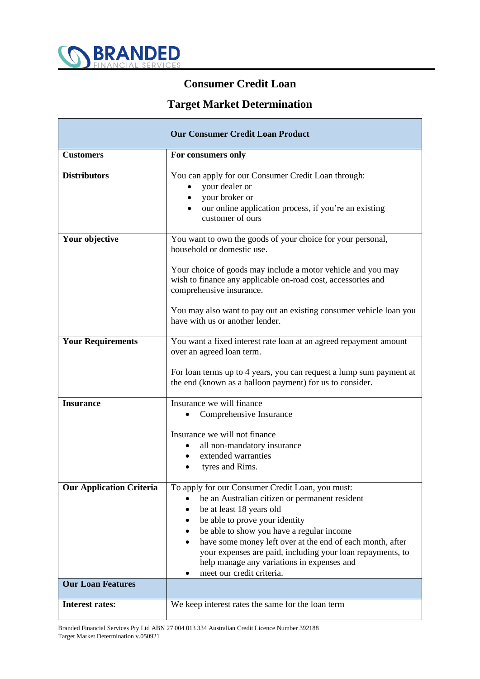

## **Consumer Credit Loan**

## **Target Market Determination**

| <b>Our Consumer Credit Loan Product</b> |                                                                                                                                                                                                                                                                                                                                                                                                                     |  |  |  |
|-----------------------------------------|---------------------------------------------------------------------------------------------------------------------------------------------------------------------------------------------------------------------------------------------------------------------------------------------------------------------------------------------------------------------------------------------------------------------|--|--|--|
| <b>Customers</b>                        | For consumers only                                                                                                                                                                                                                                                                                                                                                                                                  |  |  |  |
| <b>Distributors</b>                     | You can apply for our Consumer Credit Loan through:<br>your dealer or<br>$\bullet$<br>your broker or<br>$\bullet$<br>our online application process, if you're an existing<br>customer of ours                                                                                                                                                                                                                      |  |  |  |
| Your objective                          | You want to own the goods of your choice for your personal,<br>household or domestic use.                                                                                                                                                                                                                                                                                                                           |  |  |  |
|                                         | Your choice of goods may include a motor vehicle and you may<br>wish to finance any applicable on-road cost, accessories and<br>comprehensive insurance.                                                                                                                                                                                                                                                            |  |  |  |
|                                         | You may also want to pay out an existing consumer vehicle loan you<br>have with us or another lender.                                                                                                                                                                                                                                                                                                               |  |  |  |
| <b>Your Requirements</b>                | You want a fixed interest rate loan at an agreed repayment amount<br>over an agreed loan term.                                                                                                                                                                                                                                                                                                                      |  |  |  |
|                                         | For loan terms up to 4 years, you can request a lump sum payment at<br>the end (known as a balloon payment) for us to consider.                                                                                                                                                                                                                                                                                     |  |  |  |
| <b>Insurance</b>                        | Insurance we will finance                                                                                                                                                                                                                                                                                                                                                                                           |  |  |  |
|                                         | Comprehensive Insurance                                                                                                                                                                                                                                                                                                                                                                                             |  |  |  |
|                                         | Insurance we will not finance                                                                                                                                                                                                                                                                                                                                                                                       |  |  |  |
|                                         | all non-mandatory insurance<br>extended warranties                                                                                                                                                                                                                                                                                                                                                                  |  |  |  |
|                                         | tyres and Rims.                                                                                                                                                                                                                                                                                                                                                                                                     |  |  |  |
| <b>Our Application Criteria</b>         | To apply for our Consumer Credit Loan, you must:<br>be an Australian citizen or permanent resident<br>be at least 18 years old<br>be able to prove your identity<br>be able to show you have a regular income<br>have some money left over at the end of each month, after<br>your expenses are paid, including your loan repayments, to<br>help manage any variations in expenses and<br>meet our credit criteria. |  |  |  |
| <b>Our Loan Features</b>                |                                                                                                                                                                                                                                                                                                                                                                                                                     |  |  |  |
| <b>Interest rates:</b>                  | We keep interest rates the same for the loan term                                                                                                                                                                                                                                                                                                                                                                   |  |  |  |

Branded Financial Services Pty Ltd ABN 27 004 013 334 Australian Credit Licence Number 392188 Target Market Determination v.050921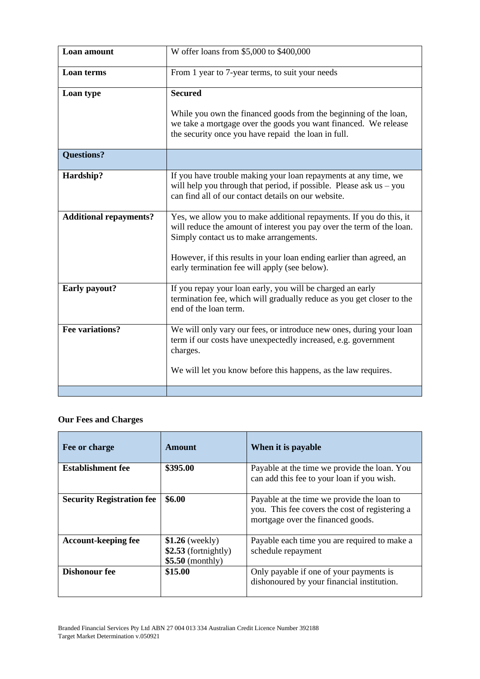| Loan amount                   | W offer loans from \$5,000 to \$400,000                                                                                                                                                         |
|-------------------------------|-------------------------------------------------------------------------------------------------------------------------------------------------------------------------------------------------|
| <b>Loan</b> terms             | From 1 year to 7-year terms, to suit your needs                                                                                                                                                 |
| Loan type                     | <b>Secured</b>                                                                                                                                                                                  |
|                               | While you own the financed goods from the beginning of the loan,<br>we take a mortgage over the goods you want financed. We release<br>the security once you have repaid the loan in full.      |
| <b>Questions?</b>             |                                                                                                                                                                                                 |
| Hardship?                     | If you have trouble making your loan repayments at any time, we<br>will help you through that period, if possible. Please ask $us - you$<br>can find all of our contact details on our website. |
| <b>Additional repayments?</b> | Yes, we allow you to make additional repayments. If you do this, it<br>will reduce the amount of interest you pay over the term of the loan.<br>Simply contact us to make arrangements.         |
|                               | However, if this results in your loan ending earlier than agreed, an<br>early termination fee will apply (see below).                                                                           |
| Early payout?                 | If you repay your loan early, you will be charged an early<br>termination fee, which will gradually reduce as you get closer to the<br>end of the loan term.                                    |
| Fee variations?               | We will only vary our fees, or introduce new ones, during your loan<br>term if our costs have unexpectedly increased, e.g. government<br>charges.                                               |
|                               | We will let you know before this happens, as the law requires.                                                                                                                                  |
|                               |                                                                                                                                                                                                 |

## **Our Fees and Charges**

| Fee or charge                    | <b>Amount</b>                                                  | When it is payable                                                                                                                |
|----------------------------------|----------------------------------------------------------------|-----------------------------------------------------------------------------------------------------------------------------------|
| <b>Establishment fee</b>         | \$395.00                                                       | Payable at the time we provide the loan. You<br>can add this fee to your loan if you wish.                                        |
| <b>Security Registration fee</b> | \$6.00                                                         | Payable at the time we provide the loan to<br>you. This fee covers the cost of registering a<br>mortgage over the financed goods. |
| <b>Account-keeping fee</b>       | $$1.26$ (weekly)<br>$$2.53$ (fortnightly)<br>$$5.50$ (monthly) | Payable each time you are required to make a<br>schedule repayment                                                                |
| <b>Dishonour fee</b>             | \$15.00                                                        | Only payable if one of your payments is<br>dishonoured by your financial institution.                                             |